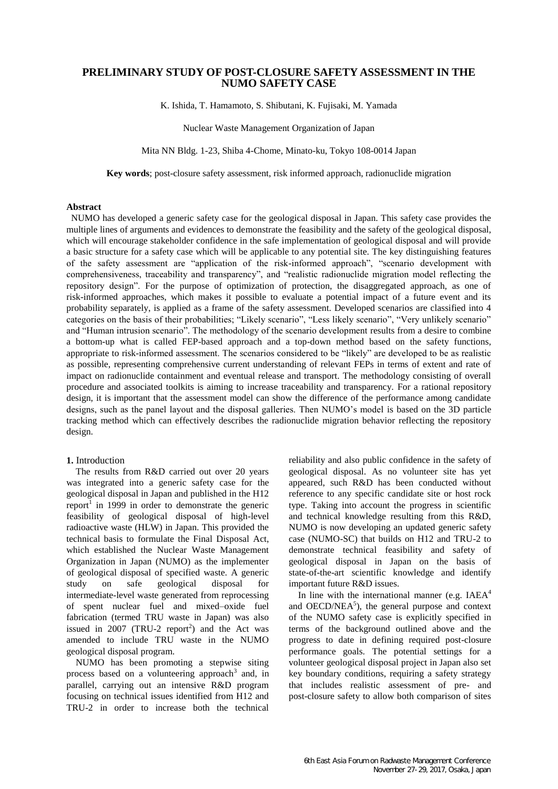# **PRELIMINARY STUDY OF POST-CLOSURE SAFETY ASSESSMENT IN THE NUMO SAFETY CASE**

K. Ishida, T. Hamamoto, S. Shibutani, K. Fujisaki, M. Yamada

Nuclear Waste Management Organization of Japan

Mita NN Bldg. 1-23, Shiba 4-Chome, Minato-ku, Tokyo 108-0014 Japan

**Key words**; post-closure safety assessment, risk informed approach, radionuclide migration

### **Abstract**

NUMO has developed a generic safety case for the geological disposal in Japan. This safety case provides the multiple lines of arguments and evidences to demonstrate the feasibility and the safety of the geological disposal, which will encourage stakeholder confidence in the safe implementation of geological disposal and will provide a basic structure for a safety case which will be applicable to any potential site. The key distinguishing features of the safety assessment are "application of the risk-informed approach", "scenario development with comprehensiveness, traceability and transparency", and "realistic radionuclide migration model reflecting the repository design". For the purpose of optimization of protection, the disaggregated approach, as one of risk-informed approaches, which makes it possible to evaluate a potential impact of a future event and its probability separately, is applied as a frame of the safety assessment. Developed scenarios are classified into 4 categories on the basis of their probabilities; "Likely scenario", "Less likely scenario", "Very unlikely scenario" and "Human intrusion scenario". The methodology of the scenario development results from a desire to combine a bottom-up what is called FEP-based approach and a top-down method based on the safety functions, appropriate to risk-informed assessment. The scenarios considered to be "likely" are developed to be as realistic as possible, representing comprehensive current understanding of relevant FEPs in terms of extent and rate of impact on radionuclide containment and eventual release and transport. The methodology consisting of overall procedure and associated toolkits is aiming to increase traceability and transparency. For a rational repository design, it is important that the assessment model can show the difference of the performance among candidate designs, such as the panel layout and the disposal galleries. Then NUMO's model is based on the 3D particle tracking method which can effectively describes the radionuclide migration behavior reflecting the repository design.

## **1.** Introduction

The results from R&D carried out over 20 years was integrated into a generic safety case for the geological disposal in Japan and published in the H12 report<sup>1</sup> in 1999 in order to demonstrate the generic feasibility of geological disposal of high-level radioactive waste (HLW) in Japan. This provided the technical basis to formulate the Final Disposal Act, which established the Nuclear Waste Management Organization in Japan (NUMO) as the implementer of geological disposal of specified waste. A generic study on safe geological disposal for intermediate-level waste generated from reprocessing of spent nuclear fuel and mixed–oxide fuel fabrication (termed TRU waste in Japan) was also issued in 2007 (TRU-2 report<sup>2</sup>) and the Act was amended to include TRU waste in the NUMO geological disposal program.

NUMO has been promoting a stepwise siting process based on a volunteering approach<sup>3</sup> and, in parallel, carrying out an intensive R&D program focusing on technical issues identified from H12 and TRU-2 in order to increase both the technical

reliability and also public confidence in the safety of geological disposal. As no volunteer site has yet appeared, such R&D has been conducted without reference to any specific candidate site or host rock type. Taking into account the progress in scientific and technical knowledge resulting from this R&D, NUMO is now developing an updated generic safety case (NUMO-SC) that builds on H12 and TRU-2 to demonstrate technical feasibility and safety of geological disposal in Japan on the basis of state-of-the-art scientific knowledge and identify important future R&D issues.

In line with the international manner (e.g.  $IAEA<sup>4</sup>$ and  $OECD/NEA<sup>5</sup>$ ), the general purpose and context of the NUMO safety case is explicitly specified in terms of the background outlined above and the progress to date in defining required post-closure performance goals. The potential settings for a volunteer geological disposal project in Japan also set key boundary conditions, requiring a safety strategy that includes realistic assessment of pre- and post-closure safety to allow both comparison of sites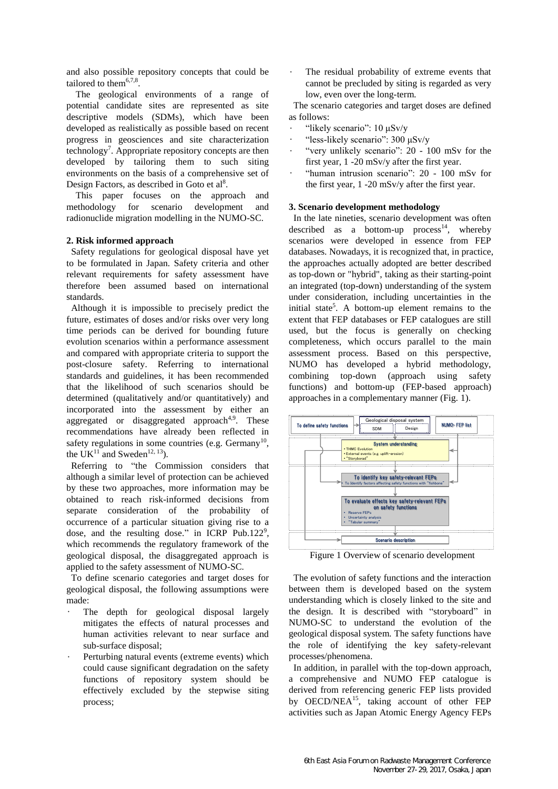and also possible repository concepts that could be tailored to them<sup>6,7,8</sup>.

The geological environments of a range of potential candidate sites are represented as site descriptive models (SDMs), which have been developed as realistically as possible based on recent progress in geosciences and site characterization technology<sup>7</sup>. Appropriate repository concepts are then developed by tailoring them to such siting environments on the basis of a comprehensive set of Design Factors, as described in Goto et al<sup>8</sup>.

This paper focuses on the approach and methodology for scenario development and radionuclide migration modelling in the NUMO-SC.

# **2. Risk informed approach**

Safety regulations for geological disposal have yet to be formulated in Japan. Safety criteria and other relevant requirements for safety assessment have therefore been assumed based on international standards.

Although it is impossible to precisely predict the future, estimates of doses and/or risks over very long time periods can be derived for bounding future evolution scenarios within a performance assessment and compared with appropriate criteria to support the post-closure safety. Referring to international standards and guidelines, it has been recommended that the likelihood of such scenarios should be determined (qualitatively and/or quantitatively) and incorporated into the assessment by either an aggregated or disaggregated approach<sup>4,9</sup>. These recommendations have already been reflected in safety regulations in some countries (e.g. Germany<sup>10</sup>, the UK<sup>11</sup> and Sweden<sup>12, 13</sup>).

Referring to "the Commission considers that although a similar level of protection can be achieved by these two approaches, more information may be obtained to reach risk-informed decisions from separate consideration of the probability of occurrence of a particular situation giving rise to a dose, and the resulting dose." in ICRP Pub.122<sup>9</sup>, which recommends the regulatory framework of the geological disposal, the disaggregated approach is applied to the safety assessment of NUMO-SC.

To define scenario categories and target doses for geological disposal, the following assumptions were made:

- The depth for geological disposal largely mitigates the effects of natural processes and human activities relevant to near surface and sub-surface disposal;
- Perturbing natural events (extreme events) which could cause significant degradation on the safety functions of repository system should be effectively excluded by the stepwise siting process;

The residual probability of extreme events that cannot be precluded by siting is regarded as very low, even over the long-term.

The scenario categories and target doses are defined as follows:

- "likely scenario": 10 μSv/y
- "less-likely scenario": 300 μSv/y
- "very unlikely scenario": 20 100 mSv for the first year, 1 -20 mSv/y after the first year.
- "human intrusion scenario": 20 100 mSv for the first year, 1 -20 mSv/y after the first year.

#### **3. Scenario development methodology**

In the late nineties, scenario development was often described as a bottom-up  $process<sup>14</sup>$ , whereby scenarios were developed in essence from FEP databases. Nowadays, it is recognized that, in practice, the approaches actually adopted are better described as top-down or "hybrid", taking as their starting-point an integrated (top-down) understanding of the system under consideration, including uncertainties in the initial state<sup>5</sup>. A bottom-up element remains to the extent that FEP databases or FEP catalogues are still used, but the focus is generally on checking completeness, which occurs parallel to the main assessment process. Based on this perspective, NUMO has developed a hybrid methodology, combining top-down (approach using safety functions) and bottom-up (FEP-based approach)



Figure 1 Overview of scenario development

The evolution of safety functions and the interaction between them is developed based on the system understanding which is closely linked to the site and the design. It is described with "storyboard" in NUMO-SC to understand the evolution of the geological disposal system. The safety functions have the role of identifying the key safety-relevant processes/phenomena.

In addition, in parallel with the top-down approach, a comprehensive and NUMO FEP catalogue is derived from referencing generic FEP lists provided by OECD/NEA<sup>15</sup>, taking account of other FEP activities such as Japan Atomic Energy Agency FEPs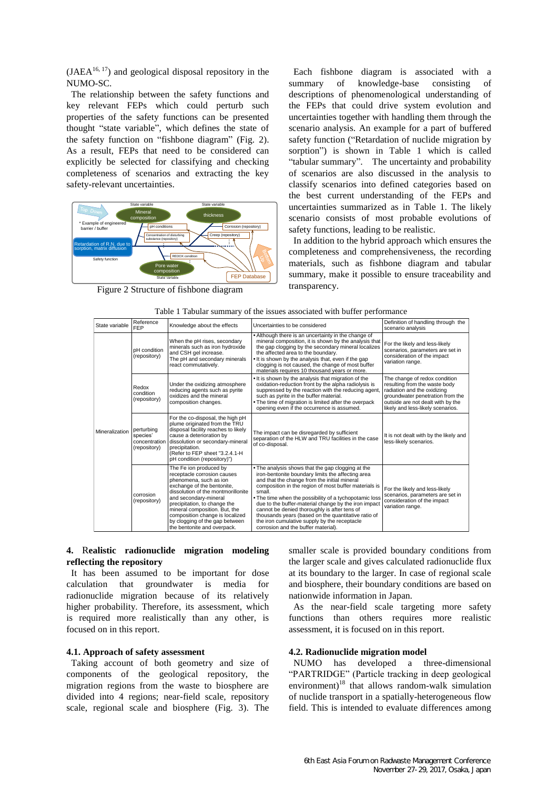$(JAEA<sup>16, 17</sup>)$  and geological disposal repository in the NUMO-SC.

The relationship between the safety functions and key relevant FEPs which could perturb such properties of the safety functions can be presented thought "state variable", which defines the state of the safety function on "fishbone diagram" (Fig. 2). As a result, FEPs that need to be considered can explicitly be selected for classifying and checking completeness of scenarios and extracting the key safety-relevant uncertainties.



Figure 2 Structure of fishbone diagram

Each fishbone diagram is associated with a summary of knowledge-base consisting of descriptions of phenomenological understanding of the FEPs that could drive system evolution and uncertainties together with handling them through the scenario analysis. An example for a part of buffered safety function ("Retardation of nuclide migration by sorption") is shown in Table 1 which is called "tabular summary". The uncertainty and probability of scenarios are also discussed in the analysis to classify scenarios into defined categories based on the best current understanding of the FEPs and uncertainties summarized as in Table 1. The likely scenario consists of most probable evolutions of safety functions, leading to be realistic.

In addition to the hybrid approach which ensures the completeness and comprehensiveness, the recording materials, such as fishbone diagram and tabular summary, make it possible to ensure traceability and transparency.

| State variable | Reference<br>FEP                                        | Knowledge about the effects                                                                                                                                                                                                                                                                                                                       | Uncertainties to be considered                                                                                                                                                                                                                                                                                                                                                                                                                                                                                                            | Definition of handling through the<br>scenario analysis                                                                                                                                                     |
|----------------|---------------------------------------------------------|---------------------------------------------------------------------------------------------------------------------------------------------------------------------------------------------------------------------------------------------------------------------------------------------------------------------------------------------------|-------------------------------------------------------------------------------------------------------------------------------------------------------------------------------------------------------------------------------------------------------------------------------------------------------------------------------------------------------------------------------------------------------------------------------------------------------------------------------------------------------------------------------------------|-------------------------------------------------------------------------------------------------------------------------------------------------------------------------------------------------------------|
| Mineralization | pH condition<br>(repository)                            | When the pH rises, secondary<br>minerals such as iron hydroxide<br>and CSH gel increase.<br>The pH and secondary minerals<br>react commutatively.                                                                                                                                                                                                 | • Although there is an uncertainty in the change of<br>mineral composition, it is shown by the analysis that<br>the gap clogging by the secondary mineral localizes<br>the affected area to the boundary.<br>. It is shown by the analysis that, even if the gap<br>clogging is not caused, the change of most buffer<br>materials requires 10 thousand years or more.                                                                                                                                                                    | For the likely and less-likely<br>scenarios, parameters are set in<br>consideration of the impact<br>variation range.                                                                                       |
|                | Redox<br>condition<br>(repository)                      | Under the oxidizing atmosphere<br>reducing agents such as pyrite<br>oxidizes and the mineral<br>composition changes.                                                                                                                                                                                                                              | . It is shown by the analysis that migration of the<br>oxidation-reduction front by the alpha radiolysis is<br>suppressed by the reaction with the reducing agent,<br>such as pyrite in the buffer material.<br>. The time of migration is limited after the overpack<br>opening even if the occurrence is assumed.                                                                                                                                                                                                                       | The change of redox condition<br>resulting from the waste body<br>radiation and the oxidizing<br>groundwater penetration from the<br>outside are not dealt with by the<br>likely and less-likely scenarios. |
|                | perturbing<br>species'<br>concentration<br>(repository) | For the co-disposal, the high pH<br>plume originated from the TRU<br>disposal facility reaches to likely<br>cause a deterioration by<br>dissolution or secondary-mineral<br>precipitation.<br>(Refer to FEP sheet "3.2.4.1-H<br>pH condition (repository)")                                                                                       | The impact can be disregarded by sufficient<br>separation of the HLW and TRU facilities in the case<br>of co-disposal.                                                                                                                                                                                                                                                                                                                                                                                                                    | It is not dealt with by the likely and<br>less-likely scenarios.                                                                                                                                            |
|                | corrosion<br>(repository)                               | The Fe ion produced by<br>receptacle corrosion causes<br>phenomena, such as ion<br>exchange of the bentonite,<br>dissolution of the montmorillonite<br>and secondary-mineral<br>precipitation, to change the<br>mineral composition. But, the<br>composition change is localized<br>by clogging of the gap between<br>the bentonite and overpack. | . The analysis shows that the gap clogging at the<br>iron-bentonite boundary limits the affecting area<br>and that the change from the initial mineral<br>composition in the region of most buffer materials is<br>small.<br>. The time when the possibility of a tychopotamic loss<br>due to the buffer-material change by the iron impact<br>cannot be denied thoroughly is after tens of<br>thousands years (based on the quantitative ratio of<br>the iron cumulative supply by the receptacle<br>corrosion and the buffer material). | For the likely and less-likely<br>scenarios, parameters are set in<br>consideration of the impact<br>variation range.                                                                                       |

# **4.** R**ealistic radionuclide migration modeling reflecting the repository**

It has been assumed to be important for dose calculation that groundwater is media for radionuclide migration because of its relatively higher probability. Therefore, its assessment, which is required more realistically than any other, is focused on in this report.

## **4.1. Approach of safety assessment**

Taking account of both geometry and size of components of the geological repository, the migration regions from the waste to biosphere are divided into 4 regions; near-field scale, repository scale, regional scale and biosphere (Fig. 3). The smaller scale is provided boundary conditions from the larger scale and gives calculated radionuclide flux at its boundary to the larger. In case of regional scale and biosphere, their boundary conditions are based on nationwide information in Japan.

As the near-field scale targeting more safety functions than others requires more realistic assessment, it is focused on in this report.

### **4.2. Radionuclide migration model**

NUMO has developed a three-dimensional "PARTRIDGE" (Particle tracking in deep geological environment) $^{18}$  that allows random-walk simulation of nuclide transport in a spatially-heterogeneous flow field. This is intended to evaluate differences among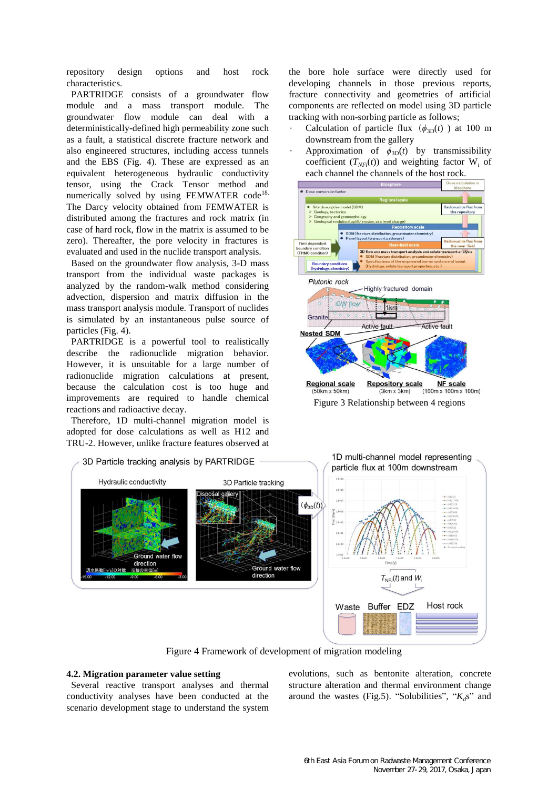repository design options and host rock characteristics.

PARTRIDGE consists of a groundwater flow module and a mass transport module. The groundwater flow module can deal with a deterministically-defined high permeability zone such as a fault, a statistical discrete fracture network and also engineered structures, including access tunnels and the EBS (Fig. 4). These are expressed as an equivalent heterogeneous hydraulic conductivity tensor, using the Crack Tensor method and numerically solved by using FEMWATER code<sup>18.</sup> The Darcy velocity obtained from FEMWATER is distributed among the fractures and rock matrix (in case of hard rock, flow in the matrix is assumed to be zero). Thereafter, the pore velocity in fractures is evaluated and used in the nuclide transport analysis.

Based on the groundwater flow analysis, 3-D mass transport from the individual waste packages is analyzed by the random-walk method considering advection, dispersion and matrix diffusion in the mass transport analysis module. Transport of nuclides is simulated by an instantaneous pulse source of particles (Fig. 4).

PARTRIDGE is a powerful tool to realistically describe the radionuclide migration behavior. However, it is unsuitable for a large number of radionuclide migration calculations at present, because the calculation cost is too huge and improvements are required to handle chemical reactions and radioactive decay.

Therefore, 1D multi-channel migration model is adopted for dose calculations as well as H12 and TRU-2. However, unlike fracture features observed at the bore hole surface were directly used for developing channels in those previous reports, fracture connectivity and geometries of artificial components are reflected on model using 3D particle tracking with non-sorbing particle as follows;

- Calculation of particle flux  $(\phi_{3D}(t))$  at 100 m downstream from the gallery
- Approximation of  $\phi_{3D}(t)$  by transmissibility coefficient  $(T_{NFi}(t))$  and weighting factor  $W_i$  of each channel the channels of the host rock.



Figure 3 Relationship between 4 regions



Figure 4 Framework of development of migration modeling

## **4.2. Migration parameter value setting**

 Several reactive transport analyses and thermal conductivity analyses have been conducted at the scenario development stage to understand the system evolutions, such as bentonite alteration, concrete structure alteration and thermal environment change around the wastes (Fig.5). "Solubilities", "*Kd*s" and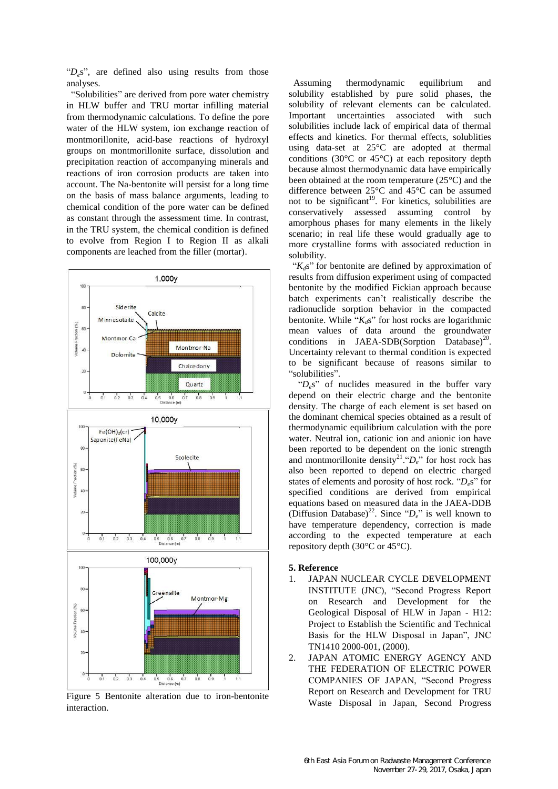" $D_e$ s", are defined also using results from those analyses.

"Solubilities" are derived from pore water chemistry in HLW buffer and TRU mortar infilling material from thermodynamic calculations. To define the pore water of the HLW system, ion exchange reaction of montmorillonite, acid-base reactions of hydroxyl groups on montmorillonite surface, dissolution and precipitation reaction of accompanying minerals and reactions of iron corrosion products are taken into account. The Na-bentonite will persist for a long time on the basis of mass balance arguments, leading to chemical condition of the pore water can be defined as constant through the assessment time. In contrast, in the TRU system, the chemical condition is defined to evolve from Region I to Region II as alkali components are leached from the filler (mortar).



Figure 5 Bentonite alteration due to iron-bentonite interaction.

Assuming thermodynamic equilibrium and solubility established by pure solid phases, the solubility of relevant elements can be calculated. Important uncertainties associated with such solubilities include lack of empirical data of thermal effects and kinetics. For thermal effects, solublities using data-set at 25°C are adopted at thermal conditions (30°C or 45°C) at each repository depth because almost thermodynamic data have empirically been obtained at the room temperature (25°C) and the difference between 25°C and 45°C can be assumed not to be significant<sup>19</sup>. For kinetics, solubilities are conservatively assessed assuming control by amorphous phases for many elements in the likely scenario; in real life these would gradually age to more crystalline forms with associated reduction in solubility.

" $K_d$ s" for bentonite are defined by approximation of results from diffusion experiment using of compacted bentonite by the modified Fickian approach because batch experiments can't realistically describe the radionuclide sorption behavior in the compacted bentonite. While "*Kd*s" for host rocks are logarithmic mean values of data around the groundwater conditions in JAEA-SDB(Sorption Database)<sup>20</sup>. Uncertainty relevant to thermal condition is expected to be significant because of reasons similar to "solubilities".

"D<sub>e</sub>s" of nuclides measured in the buffer vary depend on their electric charge and the bentonite density. The charge of each element is set based on the dominant chemical species obtained as a result of thermodynamic equilibrium calculation with the pore water. Neutral ion, cationic ion and anionic ion have been reported to be dependent on the ionic strength and montmorillonite density<sup>21</sup>." $D_e$ " for host rock has also been reported to depend on electric charged states of elements and porosity of host rock. "*De*s" for specified conditions are derived from empirical equations based on measured data in the JAEA-DDB (Diffusion Database)<sup>22</sup>. Since " $D_e$ " is well known to have temperature dependency, correction is made according to the expected temperature at each repository depth (30°C or 45°C).

## **5. Reference**

- 1. JAPAN NUCLEAR CYCLE DEVELOPMENT INSTITUTE (JNC), "Second Progress Report on Research and Development for the Geological Disposal of HLW in Japan - H12: Project to Establish the Scientific and Technical Basis for the HLW Disposal in Japan", JNC TN1410 2000-001, (2000).
- 2. JAPAN ATOMIC ENERGY AGENCY AND THE FEDERATION OF ELECTRIC POWER COMPANIES OF JAPAN, "Second Progress Report on Research and Development for TRU Waste Disposal in Japan, Second Progress